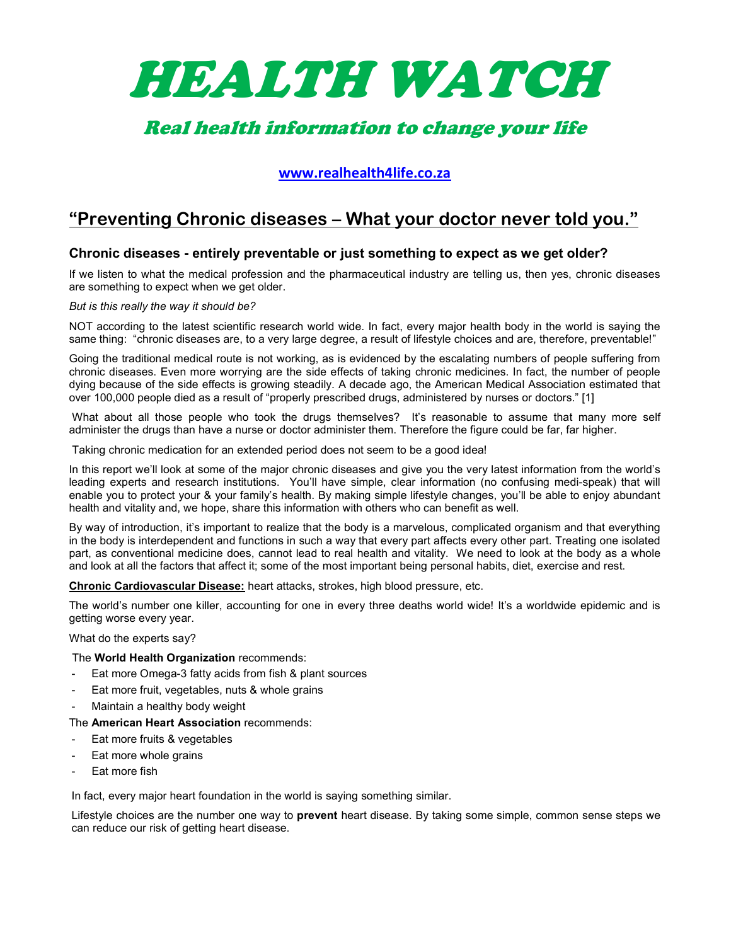

# Real health information to change your life

## www.realhealth4life.co.za

## "Preventing Chronic diseases – What your doctor never told you."

### Chronic diseases - entirely preventable or just something to expect as we get older?

If we listen to what the medical profession and the pharmaceutical industry are telling us, then yes, chronic diseases are something to expect when we get older.

#### But is this really the way it should be?

NOT according to the latest scientific research world wide. In fact, every major health body in the world is saying the same thing: "chronic diseases are, to a very large degree, a result of lifestyle choices and are, therefore, preventable!"

Going the traditional medical route is not working, as is evidenced by the escalating numbers of people suffering from chronic diseases. Even more worrying are the side effects of taking chronic medicines. In fact, the number of people dying because of the side effects is growing steadily. A decade ago, the American Medical Association estimated that over 100,000 people died as a result of "properly prescribed drugs, administered by nurses or doctors." [1]

What about all those people who took the drugs themselves? It's reasonable to assume that many more self administer the drugs than have a nurse or doctor administer them. Therefore the figure could be far, far higher.

Taking chronic medication for an extended period does not seem to be a good idea!

In this report we'll look at some of the major chronic diseases and give you the very latest information from the world's leading experts and research institutions. You'll have simple, clear information (no confusing medi-speak) that will enable you to protect your & your family's health. By making simple lifestyle changes, you'll be able to enjoy abundant health and vitality and, we hope, share this information with others who can benefit as well.

By way of introduction, it's important to realize that the body is a marvelous, complicated organism and that everything in the body is interdependent and functions in such a way that every part affects every other part. Treating one isolated part, as conventional medicine does, cannot lead to real health and vitality. We need to look at the body as a whole and look at all the factors that affect it; some of the most important being personal habits, diet, exercise and rest.

Chronic Cardiovascular Disease: heart attacks, strokes, high blood pressure, etc.

The world's number one killer, accounting for one in every three deaths world wide! It's a worldwide epidemic and is getting worse every year.

#### What do the experts say?

The World Health Organization recommends:

- Eat more Omega-3 fatty acids from fish & plant sources
- Eat more fruit, vegetables, nuts & whole grains
- Maintain a healthy body weight

#### The American Heart Association recommends:

- Eat more fruits & vegetables
- Eat more whole grains
- Eat more fish

In fact, every major heart foundation in the world is saying something similar.

Lifestyle choices are the number one way to **prevent** heart disease. By taking some simple, common sense steps we can reduce our risk of getting heart disease.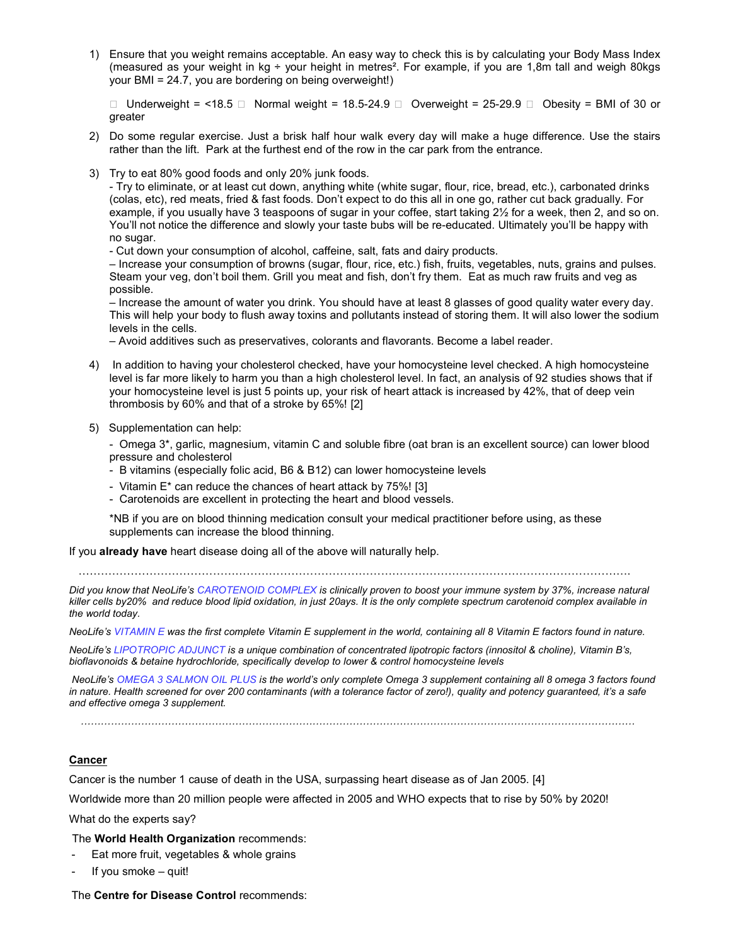1) Ensure that you weight remains acceptable. An easy way to check this is by calculating your Body Mass Index (measured as your weight in kg ÷ your height in metres<sup>2</sup>. For example, if you are 1,8m tall and weigh 80kgs your BMI = 24.7, you are bordering on being overweight!)

 $□$  Underweight = <18.5  $□$  Normal weight = 18.5-24.9  $□$  Overweight = 25-29.9  $□$  Obesity = BMI of 30 or greater

- 2) Do some regular exercise. Just a brisk half hour walk every day will make a huge difference. Use the stairs rather than the lift. Park at the furthest end of the row in the car park from the entrance.
- 3) Try to eat 80% good foods and only 20% junk foods.

- Try to eliminate, or at least cut down, anything white (white sugar, flour, rice, bread, etc.), carbonated drinks (colas, etc), red meats, fried & fast foods. Don't expect to do this all in one go, rather cut back gradually. For example, if you usually have 3 teaspoons of sugar in your coffee, start taking 2½ for a week, then 2, and so on. You'll not notice the difference and slowly your taste bubs will be re-educated. Ultimately you'll be happy with no sugar.

- Cut down your consumption of alcohol, caffeine, salt, fats and dairy products.

– Increase your consumption of browns (sugar, flour, rice, etc.) fish, fruits, vegetables, nuts, grains and pulses. Steam your veg, don't boil them. Grill you meat and fish, don't fry them. Eat as much raw fruits and veg as possible.

– Increase the amount of water you drink. You should have at least 8 glasses of good quality water every day. This will help your body to flush away toxins and pollutants instead of storing them. It will also lower the sodium levels in the cells.

– Avoid additives such as preservatives, colorants and flavorants. Become a label reader.

- 4) In addition to having your cholesterol checked, have your homocysteine level checked. A high homocysteine level is far more likely to harm you than a high cholesterol level. In fact, an analysis of 92 studies shows that if your homocysteine level is just 5 points up, your risk of heart attack is increased by 42%, that of deep vein thrombosis by 60% and that of a stroke by 65%! [2]
- 5) Supplementation can help:

- Omega 3\*, garlic, magnesium, vitamin C and soluble fibre (oat bran is an excellent source) can lower blood pressure and cholesterol

- B vitamins (especially folic acid, B6 & B12) can lower homocysteine levels
- Vitamin E\* can reduce the chances of heart attack by 75%! [3]
- Carotenoids are excellent in protecting the heart and blood vessels.

\*NB if you are on blood thinning medication consult your medical practitioner before using, as these supplements can increase the blood thinning.

If you already have heart disease doing all of the above will naturally help.

………………………………………………………………………………………………………………………………….

Did you know that NeoLife's CAROTENOID COMPLEX is clinically proven to boost your immune system by 37%, increase natural killer cells by20% and reduce blood lipid oxidation, in just 20ays. It is the only complete spectrum carotenoid complex available in the world today.

NeoLife's VITAMIN E was the first complete Vitamin E supplement in the world, containing all 8 Vitamin E factors found in nature.

NeoLife's LIPOTROPIC ADJUNCT is a unique combination of concentrated lipotropic factors (innositol & choline), Vitamin B's, bioflavonoids & betaine hydrochloride, specifically develop to lower & control homocysteine levels

 NeoLife's OMEGA 3 SALMON OIL PLUS is the world's only complete Omega 3 supplement containing all 8 omega 3 factors found in nature. Health screened for over 200 contaminants (with a tolerance factor of zero!), quality and potency guaranteed, it's a safe and effective omega 3 supplement.

…………………………………………………………………………………………………………………………………………………

#### **Cancer**

Cancer is the number 1 cause of death in the USA, surpassing heart disease as of Jan 2005. [4]

Worldwide more than 20 million people were affected in 2005 and WHO expects that to rise by 50% by 2020!

What do the experts say?

The World Health Organization recommends:

- Eat more fruit, vegetables & whole grains
- If you smoke quit!

The Centre for Disease Control recommends: